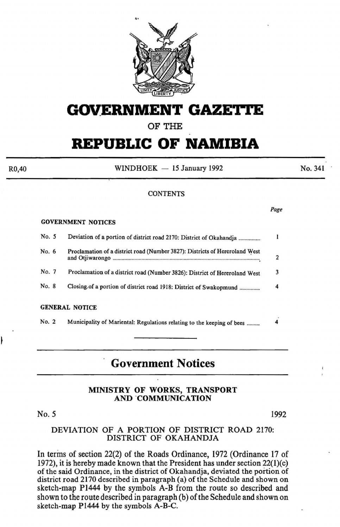

# **GOVERNMENT GAZETTE**

# OF THE

# **REPUBLIC OF NAMIBIA**

 $WINDHOEK - 15$  January 1992

No. 341

### **CONTENTS**

|--|--|

### GOVERNMENT NOTICES

No. 5

R0,40

| No. 5 | Deviation of a portion of district road 2170: District of Okahandja         |   |
|-------|-----------------------------------------------------------------------------|---|
| No. 6 | Proclamation of a district road (Number 3827): Districts of Hereroland West | 2 |
| No. 7 | Proclamation of a district road (Number 3826): District of Hereroland West  | 3 |
| No. 8 | Closing.of a portion of district road 1918: District of Swakopmund          | 4 |
|       | <b>GENERAL NOTICE</b>                                                       |   |
| No. 2 | Municipality of Mariental: Regulations relating to the keeping of bees      |   |

# **Government Notices**

### MINISTRY OF WORKS, TRANSPORT AND ·coMMUNICATION

#### 1992

### DEVIATION OF A PORTION OF DISTRICT ROAD 2170: DISTRICT OF OKAHANDJA

In terms of section 22(2) of the Roads Ordinance, 1972 (Ordinance 17 of 1972), it is hereby made known that the President has under section 22(1)(c) of the said Ordinance, in the district of Okahandja, deviated the portion of district road 2170 described in paragraph (a) of the Schedule and shown on sketch-map P1444 by the symbols A-B from the route so described and shown to the route described in paragraph (b) of the Schedule and shown on sketch-map P1444 by the symbols A-B-C.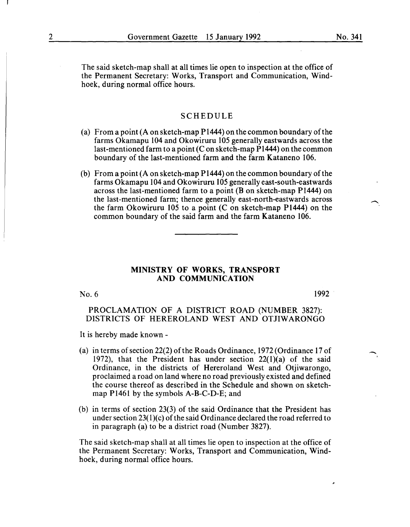The said sketch-map shall at all times lie open to inspection at the office of the Permanent Secretary: Works, Transport and Communication, Windhoek, during normal office hours.

### SCHEDULE

- (a) From a point (A on sketch-map P1444) on the common boundary of the farms Okamapu 104 and Okowiruru 105 generally eastwards across the last-mentioned farm to a point (C on sketch-map P1444) on the common boundary of the last-mentioned farm and the farm Kataneno 106.
- (b) From a point (A on sketch-map P1444) on the common boundary of the farms Okamapu 104 and Okowiruru 105 generally east-south-eastwards across the last-mentioned farm to a point (B on sketch-map P1444) on the last-mentioned farm; thence generally east-north-eastwards across the farm Okowiruru 105 to a point (C on sketch-map P1444) on the common boundary of the said farm and the farm Kataneno 106.

### MINISTRY OF WORKS, TRANSPORT AND COMMUNICATION

No.6

1992 .

è

-

### PROCLAMATION OF A DISTRICT ROAD (NUMBER 3827): DISTRICTS OF HEREROLAND WEST AND OTJIWARONGO

It is hereby made known-

- (a) in terms of section 22(2) of the Roads Ordinance, 1972 (Ordinance 17 of 1972), that the President has under section 22(1)(a) of the said Ordinance, in the districts of Hereroland West and Otjiwarongo, proclaimed a road on land where no road previously existed and defined the course thereof as described in the Schedule and shown on sketchmap P1461 by the symbols A-B-C-D-E; and
- (b) in terms of section 23(3) of the said Ordinance that the President has under section  $23(1)(c)$  of the said Ordinance declared the road referred to in paragraph (a) to be a district road (Number 3827).

The said sketch-map shall at all times lie open to inspection at the office of the Permanent Secretary: Works, Transport and Communication, Windhoek, during normal office hours.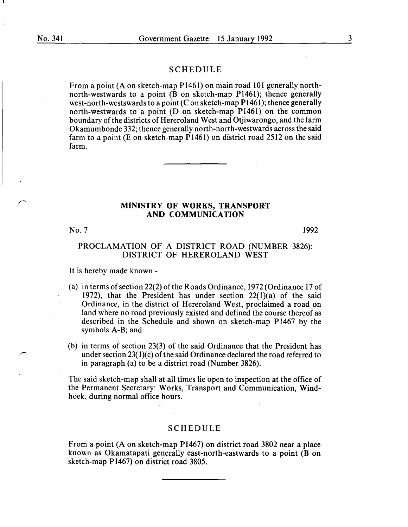### SCHEDULE

From a point (A on sketch-map Pl461) on main road 101 generally northnorth-westwards to a point (B on sketch-map P1461); thence generally west-north-westswards to a point (C on sketch-map  $P1461$ ); thence generally north-westwards to a point (D on sketch-map P1461) on the common boundary of the districts of Hereroland West and Otjiwarongo, and the farm Okamumbonde 332; thence generally north-north-westwards across the said farm to a point (E on sketch-map  $P1461$ ) on district road 2512 on the said farm.

### MINISTRY OF WORKS, TRANSPORT AND COMMUNICATION

No.7

1992

### PROCLAMATION OF A DISTRICT ROAD (NUMBER 3826): DISTRICT OF HEREROLAND WEST

It is hereby made known -

- (a) in terms of section 22(2) of the Roads Ordinance,  $1972$  (Ordinance 17 of 1972), that the President has under section  $22(1)(a)$  of the said Ordinance, in the district of Hereroland West, proclaimed a road on land where no road previously existed and defined the course thereof as described in the Schedule and shown on sketch-map P1467 by the symbols A-B; and
- (b) in terms of section 23(3) of the said Ordinance that the President has under section  $23(1)(c)$  of the said Ordinance declared the road referred to in paragraph (a) to be a district road (Number 3826).

The said sketch-map shall at all times lie open to inspection at the office of the Permanent Secretary: Works, Transport and Communication, Windhoek, during normal office hours.

### SCHEDULE

From a point (A on sketch-map Pl467) on district road 3802 near a place known as Okamatapati generally east-north-eastwards to a point (B on sketch-map P1467) on district road 3805.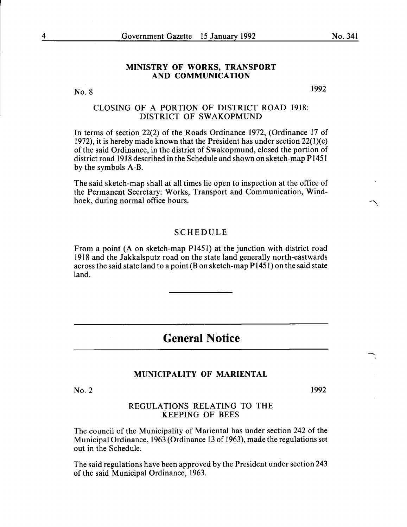### MINISTRY OF WORKS, TRANSPORT AND COMMUNICATION

No.8

1992

### CLOSING OF A PORTION OF DISTRICT ROAD 1918: DISTRICT OF SWAKOPMUND

In terms of section 22(2) of the Roads Ordinance 1972, (Ordinance 17 of 1972), it is hereby made known that the President has under section 22(1)(c) of the said Ordinance, in the district of Swakopmund, closed the portion of district road 1918 described in the Schedule and shown on sketch-map P1451 by the symbols A-B.

The said sketch-map shall at all times lie open to inspection at the office of the Permanent Secretary: Works, Transport and Communication, Windhoek, during normal office hours.

### **SCHEDULE**

From a point (A on sketch-map P1451) at the junction with district road 1918 and the Jakkalsputz road on the state land generally north-eastwards across the said state land to a point (B on sketch-map P1451) on the said state land.

# **General Notice**

### MUNICIPALITY OF MARIENTAL

No.2

1992

### REGULATIONS RELATING TO THE KEEPING OF BEES

The council of the Municipality of Mariental has under section 242 of the Municipal Ordinance, 1963 (Ordinance 13 of 1963), made the regulations set out in the Schedule.

The said regulations have been approved by the President under section 243 of the said Municipal Ordinance, 1963.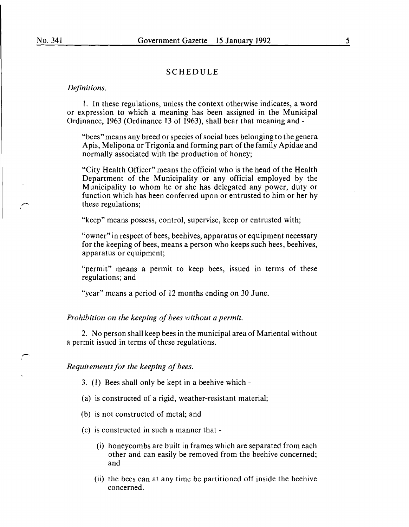### SCHEDULE

#### *Definitions.*

l. In these regulations, unless the context otherwise indicates, a word or expression to which a meaning has been assigned in the Municipal Ordinance, 1963 (Ordinance 13 of 1963), shall bear that meaning and-

"bees" means any breed or species of social bees belonging to the genera A pis, Melipona or Trigonia and forming part of the family Apidae and normally associated with the production of honey;

"City Health Officer" means the official who is the head of the Health Department of the Municipality or any official employed by the Municipality to whom he or she has delegated any power, duty or function which has been conferred upon or entrusted to him or her by these regulations;

"keep" means possess, control, supervise, keep or entrusted with;

"owner" in respect of bees, beehives, apparatus or equipment necessary for the keeping of bees, means a person who keeps such bees, beehives, apparatus or equipment;

"permit" means a permit to keep bees, issued in terms of these regulations; and

"year" means a period of 12 months ending on 30 June.

*Prohibition on the keeping of bees without a permit.* 

2. No person shall keep bees in the municipal area of Mariental without a permit issued in terms of these regulations.

*Requirements for the keeping of bees.* 

- 3. (l) Bees shall only be kept in a beehive which-
- (a) is constructed of a rigid, weather-resistant material;
- (b) is not constructed of metal; and
- (c) is constructed in such a manner that-
	- (i) honeycombs are built in frames which are separated from each other and can easily be removed from the beehive concerned; and
	- (ii) the bees can at any time be partitioned off inside the beehive concerned.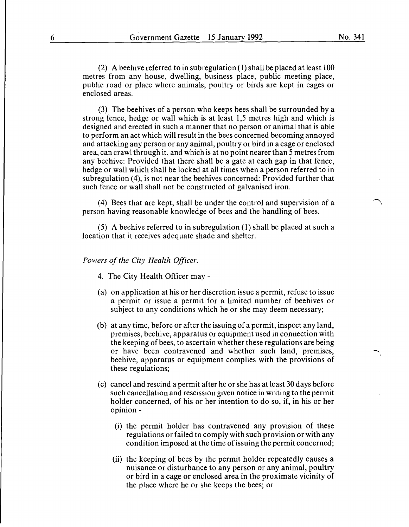(2) A beehive referred to in subregulation ( 1) shall be placed at least 100 metres from any house, dwelling, business place, public meeting place, public road or place where animals, poultry or birds are kept in cages or enclosed areas.

(3) The beehives of a person who keeps bees shall be surrounded by a strong fence, hedge or wall which is at least 1,5 metres high and which is designed and erected in such a manner that no person or animal that is able to perform an act which will result in the bees concerned becoming annoyed and attacking any person or any animal, poultry or bird in a cage or enclosed area, can crawl through it, and which is at no point nearer than 5 metres from any beehive: Provided that there shall be a gate at each gap in that fence, hedge or wall which shall be locked at all times when a person referred to in subregulation (4), is not near the beehives concerned: Provided further that such fence or wall shall not be constructed of galvanised iron.

(4) Bees that are kept, shall be under the control and supervision of a person having reasonable knowledge of bees and the handling of bees.

(5) A beehive referred to in subregulation (1) shall be placed at such a location that it receives adequate shade and shelter.

### *Powers of the City Health Officer.*

- 4. The City Health Officer may -
- (a) on application at his or her discretion issue a permit, refuse to issue a permit or issue a permit for a limited number of beehives or subject to any conditions which he or she may deem necessary;
- (b) at any time, before or after the issuing of a permit, inspect any land, premises, beehive, apparatus or equipment used in connection with the keeping of bees, to ascertain whether these regulations are being or have been contravened and whether such land, premises, beehive, apparatus or equipment complies with the provisions of these regulations;
- (c) cancel and rescind a permit after he or she has at least 30 days before such cancellation and rescission given notice in writing to the permit holder concerned, of his or her intention to do so, if, in his or her opinion -
	- (i) the permit holder has contravened any provision of these regulations or failed to comply with such provision or with any condition imposed at the time of issuing the permit concerned;
	- (ii) the keeping of bees by the permit holder repeatedly causes a nuisance or disturbance to any person or any animal, poultry or bird in a cage or enclosed area in the proximate vicinity of the place where he or she keeps the bees; or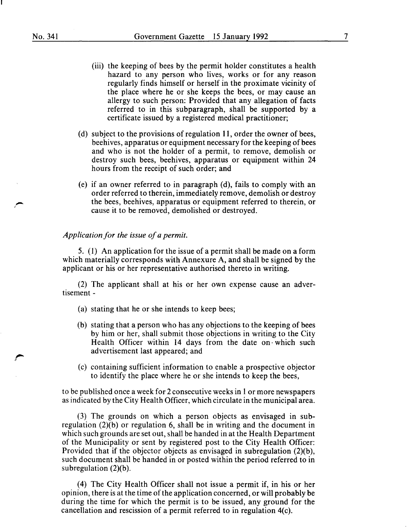$\cdot$  "

- (iii) the keeping of bees by the permit holder constitutes a health hazard to any person who lives, works or for any reason regularly finds himself or herself in the proximate vicinity of the place where he or she keeps the bees, or may cause an allergy to such person: Provided that any allegation of facts referred to in this subparagraph, shall be supported by a certificate issued by a registered medical practitioner;
- (d) subject to the provisions of regulation 11, order the owner of bees, beehives, apparatus or equipment necessary for the keeping of bees and who is not the holder of a permit, to remove, demolish or destroy such bees, beehives, apparatus or equipment within 24 hours from the receipt of such order; and
- (e) if an owner referred to in paragraph (d), fails to comply with an order referred to therein, immediately remove, demolish or destroy the bees, beehives, apparatus or equipment referred to therein, or cause it to be removed, demolished or destroyed.

### *Application for the issue of a permit.*

5. (1) An application for the issue of a permit shall be made on a form which materially corresponds with Annexure A, and shall be signed by the applicant or his or her representative authorised thereto in writing.

(2) The applicant shall at his or her own expense cause an advertisement-

- (a) stating that he or she intends to keep bees;
- (b) stating that a person who has any objections to the keeping of bees by him or her, shall submit those objections in writing to the City Health Officer within 14 days from the date on which such advertisement last appeared; and
- (c) containing sufficient information to enable a prospective objector to identify the place where he or she intends to keep the bees,

to be published once a week for 2 consecutive weeks in 1 or more newspapers as indicated by the City Health Officer, which circulate in the municipal area.

(3) The grounds on which a person objects as envisaged in subregulation (2)(b) or regulation 6, shall be in writing and the document in which such grounds are set out, shall be handed in at the Health Department of the Municipality or sent by registered post to the City Health Officer: Provided that if the objector objects as envisaged in subregulation (2)(b), such document shall be handed in or posted within the period referred to in subregulation  $(2)(b)$ .

(4) The City Health Officer shall not issue a permit if, in his or her opinion, there is at the time of the application concerned, or will probably be during the time for which the permit is to be issued, any ground for the cancellation and rescission of a permit referred to in regulation 4(c).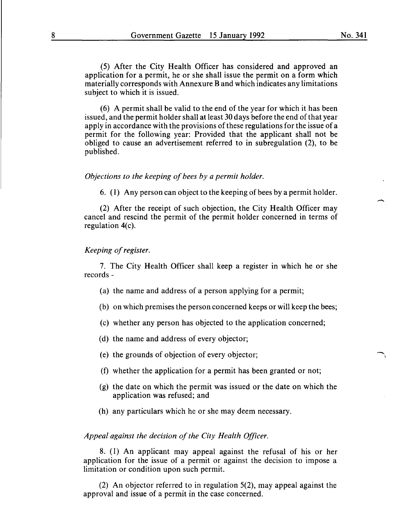(5) After the City Health Officer has considered and approved an application for a permit, he or she shall issue the permit on a form which materially corresponds with Annexure Band which indicates any limitations subject to which it is issued.

(6) A permit shall be valid to the end of the year for which it has been issued, and the permit holder shall at least 30 days before the end of that year apply in accordance with the provisions of these regulations for the issue of a permit for the following year: Provided that the applicant shall not be obliged to cause an advertisement referred to in subregulation (2), to be published.

### *Objections to the keeping of bees by a permit holder.*

6. (1) Any person can object to the keeping of bees by a permit holder.

(2) After the receipt of such objection, the City Health Officer may cancel and rescind the permit of the permit holder concerned in terms of regulation  $4(c)$ .

### *Keeping of register.*

7. The City Health Officer shall keep a register in which he or she records-

- (a) the name and address of a person applying for a permit;
- (b) on which premises the person concerned keeps or will keep the bees;
- (c) whether any person has objected to the application concerned;
- (d) the name and address of every objector;
- (e) the grounds of objection of every objector;
- (f) whether the application for a permit has been granted or not;
- (g) the date on which the permit was issued or the date on which the application was refused; and
- (h) any particulars which he or she may deem necessary.

### *Appeal against the decision of the City Health Officer.*

8. (1) An applicant may appeal against the refusal of his or her application for the issue of a permit or against the decision to impose a limitation or condition upon such permit.

(2) An objector referred to in regulation 5(2), may appeal against the approval and issue of a permit in the case concerned.

-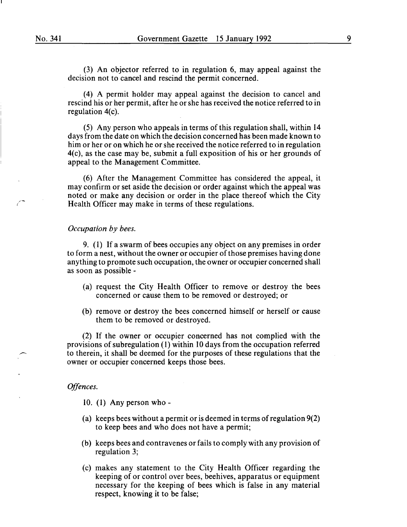(3) An objector referred to in regulation 6, may appeal against the decision not to cancel and rescind the permit concerned.

(4) A permit holder may appeal against the decision to cancel and rescind his or her permit, after he or she has received the notice referred to in regulation 4(c).

(5) Any person who appeals in terms of this regulation shall, within 14 days from the date on which the decision concerned has been made known to him or her or on which he or she received the notice referred to in regulation 4(c), as the case may be, submit a full exposition of his or her grounds of appeal to the Management Committee.

(6) After the Management Committee has considered the appeal, it may confirm or set aside the decision or order against which the appeal was noted or make any decision or order in the place thereof which the City Health Officer may make in terms of these regulations.

### *Occupation by bees.*

9. (1) If a swarm of bees occupies any object on any premises in order to form a nest, without the owner or occupier of those premises having done anything to promote such occupation, the owner or occupier concerned shall as soon as possible -

- (a) request the City Health Officer to remove or destroy the bees concerned or cause them to be removed or destroyed; or
- (b) remove or destroy the bees concerned himself or herself or cause them to be removed or destroyed.

(2) If the owner or occupier concerned has not complied with the provisions of subregulation (1) within 10 days from the occupation referred to therein, it shall be deemed for the purposes of these regulations that the owner or occupier concerned keeps those bees.

### *Offences.*

- 10. (1) Any person who-
- (a) keeps bees without a permit or is deemed in terms of regulation 9(2) to keep bees and who does not have a permit;
- (b) keeps bees and contravenes or fails to comply with any provision of regulation 3;
- (c) makes any statement to the City Health Officer regarding the keeping of or control over bees, beehives, apparatus or equipment necessary for the keeping of bees which is false in any material respect, knowing it to be false;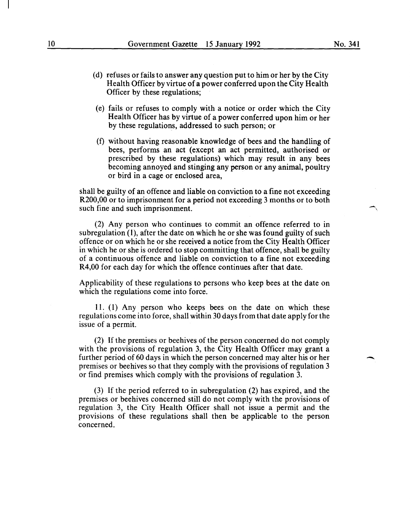- (d) refuses or fails to answer any question put to him or her by the City Health Officer by virtue of a power conferred upon the City Health Officer by these regulations;
- (e) fails or refuses to comply with a notice or order which the City Health Officer has by virtue of a power conferred upon him or her by these regulations, addressed to such person; or
- (f) without having reasonable knowledge of bees and the handling of bees, performs an act (except an act permitted, authorised or prescribed by these regulations) which may result in any bees becoming annoyed and stinging any person or any animal, poultry or bird in a cage or enclosed area,

shall be guilty of an offence and liable on conviction to a fine not exceeding R200,00 or to imprisonment for a period not exceeding 3 months or to both such fine and such imprisonment.

(2) Any person who continues to commit an offence referred to in subregulation (1), after the date on which he or she was found guilty of such offence or on which he or she received a notice from the City Health Officer in which he or she is ordered to stop committing that offence, shall be guilty of a continuous offence and liable on conviction to a fine not exceeding R4,00 for each day for which the offence continues after that date.

Applicability of these regulations to persons who keep bees at the date on which the regulations come into force.

11. (1) Any person who keeps bees on the date on which these regulations come into force, shall within 30 days from that date apply for the issue of a permit.

(2) If the premises or beehives of the person concerned do not comply with the provisions of regulation 3, the City Health Officer may grant a further period of 60 days in which the person concerned may alter his or her premises or beehives so that they comply with the provisions of regulation 3 or find premises which comply with the provisions of regulation 3.

(3) If the period referred to in subregulation (2) has expired, and the premises or beehives concerned still do not comply with the provisions of regulation 3, the City Health Officer shall not issue a permit and the provisions of these regulations shall then be applicable to the person concerned.

 $\overline{\phantom{a}}$ 

-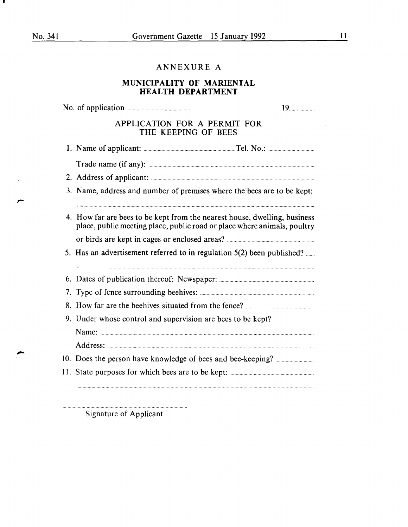# ANNEXURE A

# MUNICIPALITY OF MARIENTAL HEALTH DEPARTMENT

|                                                                                                                                                       | 19 |  |  |  |
|-------------------------------------------------------------------------------------------------------------------------------------------------------|----|--|--|--|
| APPLICATION FOR A PERMIT FOR<br>THE KEEPING OF BEES                                                                                                   |    |  |  |  |
|                                                                                                                                                       |    |  |  |  |
|                                                                                                                                                       |    |  |  |  |
|                                                                                                                                                       |    |  |  |  |
| 3. Name, address and number of premises where the bees are to be kept:                                                                                |    |  |  |  |
| 4. How far are bees to be kept from the nearest house, dwelling, business<br>place, public meeting place, public road or place where animals, poultry |    |  |  |  |
|                                                                                                                                                       |    |  |  |  |
| 5. Has an advertisement referred to in regulation 5(2) been published?                                                                                |    |  |  |  |
|                                                                                                                                                       |    |  |  |  |
|                                                                                                                                                       |    |  |  |  |
|                                                                                                                                                       |    |  |  |  |
| 9. Under whose control and supervision are bees to be kept?                                                                                           |    |  |  |  |
|                                                                                                                                                       |    |  |  |  |
|                                                                                                                                                       |    |  |  |  |
|                                                                                                                                                       |    |  |  |  |
|                                                                                                                                                       |    |  |  |  |
|                                                                                                                                                       |    |  |  |  |

Signature of Applicant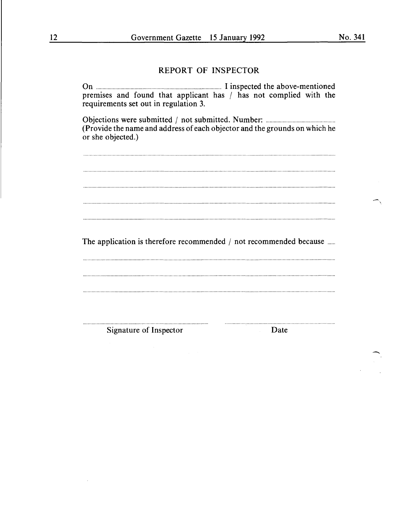# REPORT OF INSPECTOR

On .................................................................................................. I inspected the above-mentioned premises and found that applicant has  $/$  has not complied with the requirements set out in regulation 3. Objections were submitted I not submitted. Number: ..................................................... . (Provide the name and address of each objector and the grounds on which he or she objected.)  $\overline{a_1}$  , and  $\overline{a_2}$  , and  $\overline{a_3}$  , and  $\overline{a_4}$  , and  $\overline{a_5}$  , and  $\overline{a_6}$  , and  $\overline{a_7}$  , and  $\overline{a_8}$  , and  $\overline{a_9}$  , and  $\overline{a_9}$  , and  $\overline{a_9}$  , and  $\overline{a_9}$  , and  $\overline{a_9}$  , and The application is therefore recommended  $/$  not recommended because  $\ldots$ . Signature of Inspector Date

 $\overline{\phantom{a}}$ 

-<br>-<br>-